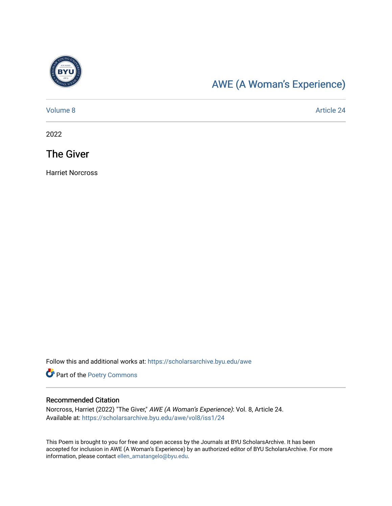

# [AWE \(A Woman's Experience\)](https://scholarsarchive.byu.edu/awe)

[Volume 8](https://scholarsarchive.byu.edu/awe/vol8) Article 24

2022

## The Giver

Harriet Norcross

Follow this and additional works at: [https://scholarsarchive.byu.edu/awe](https://scholarsarchive.byu.edu/awe?utm_source=scholarsarchive.byu.edu%2Fawe%2Fvol8%2Fiss1%2F24&utm_medium=PDF&utm_campaign=PDFCoverPages)

Part of the [Poetry Commons](https://network.bepress.com/hgg/discipline/1153?utm_source=scholarsarchive.byu.edu%2Fawe%2Fvol8%2Fiss1%2F24&utm_medium=PDF&utm_campaign=PDFCoverPages) 

#### Recommended Citation

Norcross, Harriet (2022) "The Giver," AWE (A Woman's Experience): Vol. 8, Article 24. Available at: [https://scholarsarchive.byu.edu/awe/vol8/iss1/24](https://scholarsarchive.byu.edu/awe/vol8/iss1/24?utm_source=scholarsarchive.byu.edu%2Fawe%2Fvol8%2Fiss1%2F24&utm_medium=PDF&utm_campaign=PDFCoverPages) 

This Poem is brought to you for free and open access by the Journals at BYU ScholarsArchive. It has been accepted for inclusion in AWE (A Woman's Experience) by an authorized editor of BYU ScholarsArchive. For more information, please contact [ellen\\_amatangelo@byu.edu.](mailto:ellen_amatangelo@byu.edu)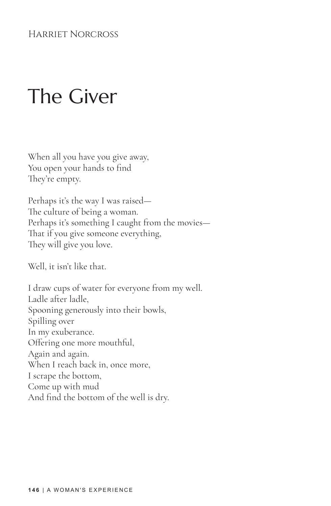### Harriet Norcross

# The Giver

When all you have you give away, You open your hands to find They're empty.

Perhaps it's the way I was raised— The culture of being a woman. Perhaps it's something I caught from the movies— That if you give someone everything, They will give you love.

Well, it isn't like that.

I draw cups of water for everyone from my well. Ladle after ladle, Spooning generously into their bowls, Spilling over In my exuberance. Offering one more mouthful, Again and again. When I reach back in, once more, I scrape the bottom, Come up with mud And find the bottom of the well is dry.